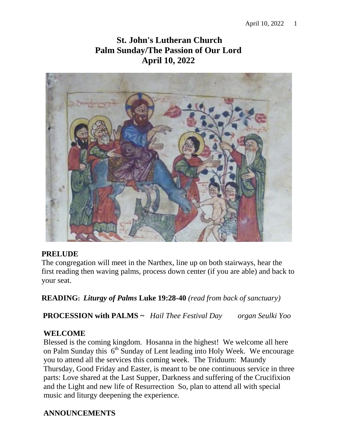# **St. John's Lutheran Church Palm Sunday/The Passion of Our Lord April 10, 2022**



## **PRELUDE**

The congregation will meet in the Narthex, line up on both stairways, hear the first reading then waving palms, process down center (if you are able) and back to your seat.

**READING:** *Liturgy of Palms* **Luke 19:28-40** *(read from back of sanctuary)*

 **PROCESSION with PALMS ~** *Hail Thee Festival Day organ Seulki Yoo*

## **WELCOME**

 Blessed is the coming kingdom. Hosanna in the highest! We welcome all here on Palm Sunday this  $6<sup>th</sup>$  Sunday of Lent leading into Holy Week. We encourage you to attend all the services this coming week. The Triduum: Maundy Thursday, Good Friday and Easter, is meant to be one continuous service in three parts: Love shared at the Last Supper, Darkness and suffering of the Crucifixion and the Light and new life of Resurrection So, plan to attend all with special music and liturgy deepening the experience.

# **ANNOUNCEMENTS**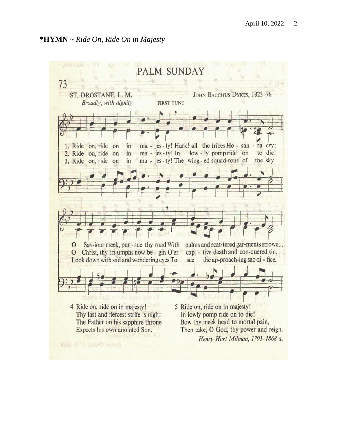## **\*HYMN** ~ *Ride On, Ride On in Majesty*

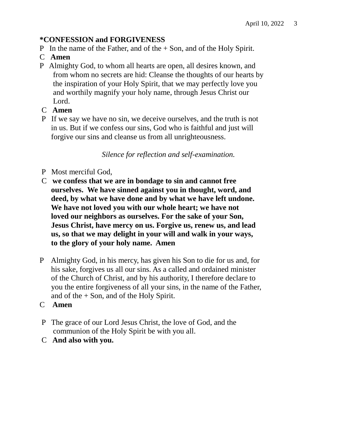## **\*CONFESSION and FORGIVENESS**

- P In the name of the Father, and of the + Son, and of the Holy Spirit.
- C **Amen**
- P Almighty God, to whom all hearts are open, all desires known, and from whom no secrets are hid: Cleanse the thoughts of our hearts by the inspiration of your Holy Spirit, that we may perfectly love you and worthily magnify your holy name, through Jesus Christ our Lord.
- C **Amen**
- P If we say we have no sin, we deceive ourselves, and the truth is not in us. But if we confess our sins, God who is faithful and just will forgive our sins and cleanse us from all unrighteousness.

*Silence for reflection and self-examination.*

- P Most merciful God,
- C **we confess that we are in bondage to sin and cannot free ourselves. We have sinned against you in thought, word, and deed, by what we have done and by what we have left undone. We have not loved you with our whole heart; we have not loved our neighbors as ourselves. For the sake of your Son, Jesus Christ, have mercy on us. Forgive us, renew us, and lead us, so that we may delight in your will and walk in your ways, to the glory of your holy name. Amen**
- P Almighty God, in his mercy, has given his Son to die for us and, for his sake, forgives us all our sins. As a called and ordained minister of the Church of Christ, and by his authority, I therefore declare to you the entire forgiveness of all your sins, in the name of the Father, and of the + Son, and of the Holy Spirit.
- C **Amen**
- P The grace of our Lord Jesus Christ, the love of God, and the communion of the Holy Spirit be with you all.
- C **And also with you.**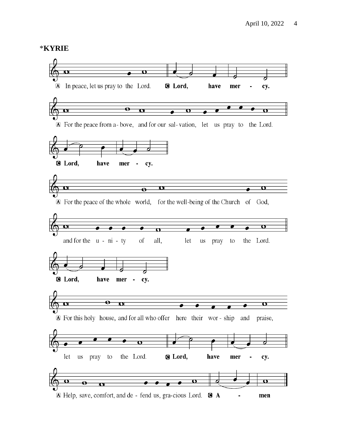#### **\*KYRIE**

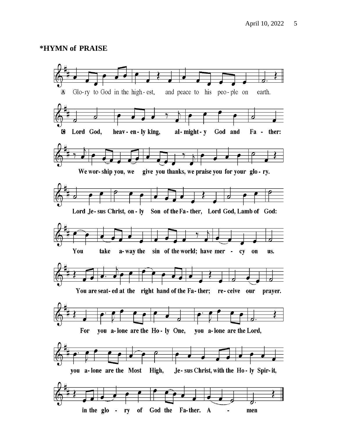#### \*HYMN of PRAISE

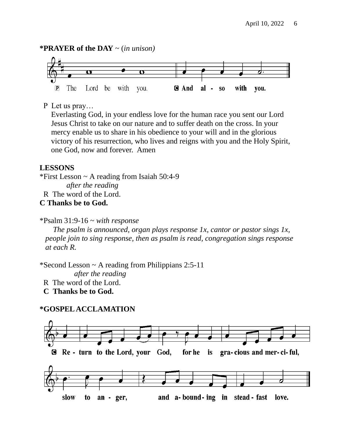#### **\*PRAYER of the DAY** ~ (*in unison)*



## P Let us pray…

 Everlasting God, in your endless love for the human race you sent our Lord Jesus Christ to take on our nature and to suffer death on the cross. In your mercy enable us to share in his obedience to your will and in the glorious victory of his resurrection, who lives and reigns with you and the Holy Spirit, one God, now and forever. Amen

## **LESSONS**

\*First Lesson ~ A reading from Isaiah 50:4-9

 *after the reading*

R The word of the Lord.

## **C Thanks be to God.**

\*Psalm 31:9-16 ~ *with response*

 *The psalm is announced, organ plays response 1x, cantor or pastor sings 1x, people join to sing response, then as psalm is read, congregation sings response at each R.*

\*Second Lesson ~ A reading from Philippians 2:5-11

 *after the reading*

R The word of the Lord.

 **C Thanks be to God.**

## **\*GOSPEL ACCLAMATION**

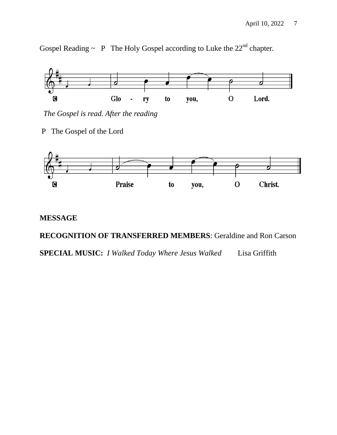Gospel Reading  $\sim$  P The Holy Gospel according to Luke the 22<sup>nd</sup> chapter.



 *The Gospel is read. After the reading*

P The Gospel of the Lord



## **MESSAGE**

**RECOGNITION OF TRANSFERRED MEMBERS**: Geraldine and Ron Carson

**SPECIAL MUSIC:** *I Walked Today Where Jesus Walked* Lisa Griffith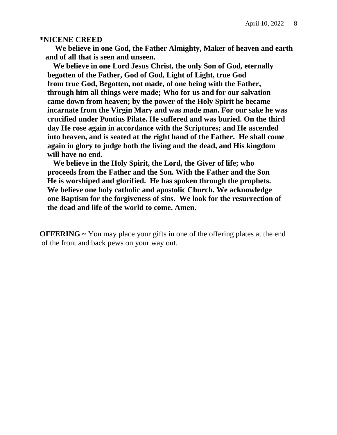#### **\*NICENE CREED**

 **We believe in one God, the Father Almighty, Maker of heaven and earth and of all that is seen and unseen.**

 **We believe in one Lord Jesus Christ, the only Son of God, eternally begotten of the Father, God of God, Light of Light, true God from true God, Begotten, not made, of one being with the Father, through him all things were made; Who for us and for our salvation came down from heaven; by the power of the Holy Spirit he became incarnate from the Virgin Mary and was made man. For our sake he was crucified under Pontius Pilate. He suffered and was buried. On the third day He rose again in accordance with the Scriptures; and He ascended into heaven, and is seated at the right hand of the Father. He shall come again in glory to judge both the living and the dead, and His kingdom will have no end.**

 **We believe in the Holy Spirit, the Lord, the Giver of life; who proceeds from the Father and the Son. With the Father and the Son He is worshiped and glorified. He has spoken through the prophets. We believe one holy catholic and apostolic Church. We acknowledge one Baptism for the forgiveness of sins. We look for the resurrection of the dead and life of the world to come. Amen.**

**OFFERING ~** You may place your gifts in one of the offering plates at the end of the front and back pews on your way out.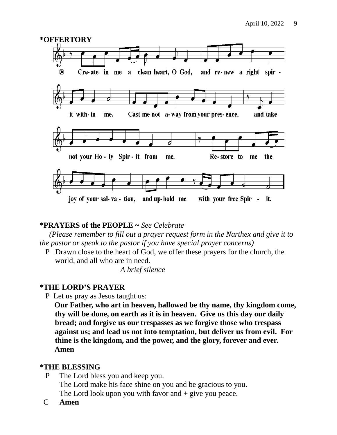

## **\*PRAYERS of the PEOPLE ~** *See Celebrate*

 *(Please remember to fill out a prayer request form in the Narthex and give it to the pastor or speak to the pastor if you have special prayer concerns)*

 P Drawn close to the heart of God, we offer these prayers for the church, the world, and all who are in need.

*A brief silence*

## **\*THE LORD'S PRAYER**

P Let us pray as Jesus taught us:

 **Our Father, who art in heaven, hallowed be thy name, thy kingdom come, thy will be done, on earth as it is in heaven. Give us this day our daily bread; and forgive us our trespasses as we forgive those who trespass against us; and lead us not into temptation, but deliver us from evil. For thine is the kingdom, and the power, and the glory, forever and ever. Amen** 

## **\*THE BLESSING**

P The Lord bless you and keep you.

The Lord make his face shine on you and be gracious to you. The Lord look upon you with favor and  $+$  give you peace.

C **Amen**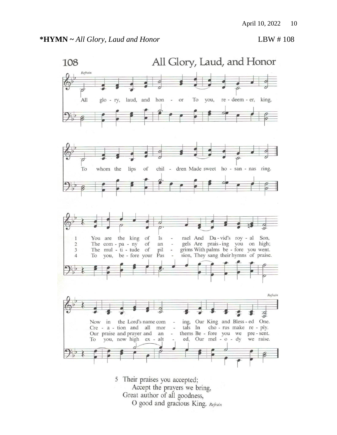

- Great author of all goodness,
	- O good and gracious King. Refrain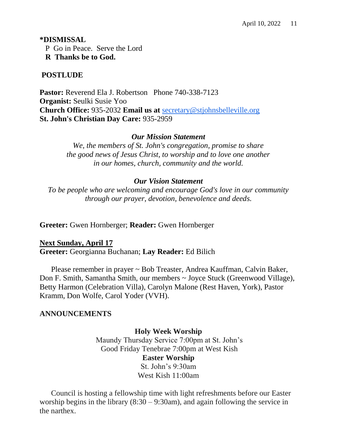#### **\*DISMISSAL**

P Go in Peace. Serve the Lord

**R Thanks be to God.**

## **POSTLUDE**

Pastor: Reverend Ela J. Robertson Phone 740-338-7123 **Organist:** Seulki Susie Yoo **Church Office:** 935-2032 **Email us at** [secretary@stjohnsbelleville.org](mailto:secretary@stjohnsbelleville.org) **St. John's Christian Day Care:** 935-2959

## *Our Mission Statement*

*We, the members of St. John's congregation, promise to share the good news of Jesus Christ, to worship and to love one another in our homes, church, community and the world.*

## *Our Vision Statement*

*To be people who are welcoming and encourage God's love in our community through our prayer, devotion, benevolence and deeds.*

**Greeter:** Gwen Hornberger; **Reader:** Gwen Hornberger

## **Next Sunday, April 17**

**Greeter:** Georgianna Buchanan; **Lay Reader:** Ed Bilich

 Please remember in prayer ~ Bob Treaster, Andrea Kauffman, Calvin Baker, Don F. Smith, Samantha Smith, our members ~ Joyce Stuck (Greenwood Village), Betty Harmon (Celebration Villa), Carolyn Malone (Rest Haven, York), Pastor Kramm, Don Wolfe, Carol Yoder (VVH).

## **ANNOUNCEMENTS**

## **Holy Week Worship**

Maundy Thursday Service 7:00pm at St. John's Good Friday Tenebrae 7:00pm at West Kish **Easter Worship** St. John's 9:30am West Kish 11:00am

 Council is hosting a fellowship time with light refreshments before our Easter worship begins in the library  $(8:30 - 9:30)$ , and again following the service in the narthex.